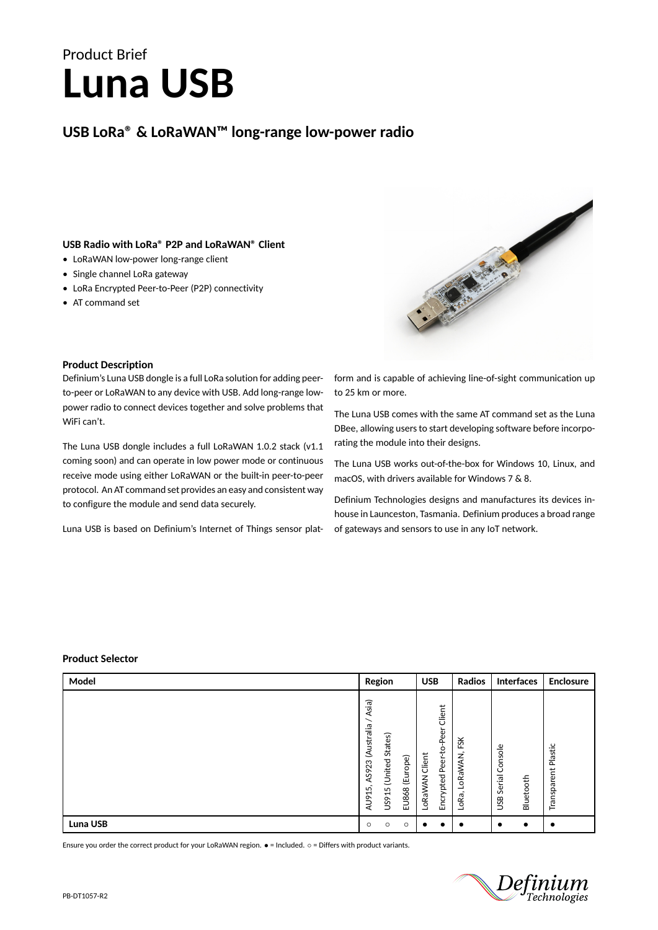# Product Brief **Luna USB**

# **USB LoRa® & LoRaWAN™ long-range low-power radio**

# **USB Radio with LoRa® P2P and LoRaWAN® Client**

- LoRaWAN low-power long-range client
- Single channel LoRa gateway
- LoRa Encrypted Peer-to-Peer (P2P) connectivity
- AT command set



## **Product Description**

Definium's Luna USB dongle is a full LoRa solution for adding peerto-peer or LoRaWAN to any device with USB. Add long-range lowpower radio to connect devices together and solve problems that WiFi can't.

The Luna USB dongle includes a full LoRaWAN 1.0.2 stack (v1.1 coming soon) and can operate in low power mode or continuous receive mode using either LoRaWAN or the built-in peer-to-peer protocol. An AT command set provides an easy and consistent way to configure the module and send data securely.

Luna USB is based on Definium's Internet of Things sensor plat-

form and is capable of achieving line-of-sight communication up to 25 km or more.

The Luna USB comes with the same AT command set as the Luna DBee, allowing users to start developing software before incorporating the module into their designs.

The Luna USB works out-of-the-box for Windows 10, Linux, and macOS, with drivers available for Windows 7 & 8.

Definium Technologies designs and manufactures its devices inhouse in Launceston, Tasmania. Definium produces a broad range of gateways and sensors to use in any IoT network.

## **Product Selector**

| Model    | Region                                         |                                                | <b>USB</b>        |                                     | <b>Radios</b>            | <b>Interfaces</b>                     | Enclosure              |
|----------|------------------------------------------------|------------------------------------------------|-------------------|-------------------------------------|--------------------------|---------------------------------------|------------------------|
|          | sia)<br>⋖<br>(Australia<br>AS923<br>5<br>AU91! | States)<br>EU868 (Europe)<br>(United:<br>US915 | Client<br>LoRaWAN | Client<br>Peer<br>Encrypted Peer-to | FSK<br>LoRaWAN,<br>LoRa, | Console<br>Serial<br>Bluetooth<br>USB | Plastic<br>Transparent |
| Luna USB | $\circ$                                        | $\circ$<br>$\circ$                             |                   |                                     | ٠                        | с                                     |                        |

Ensure you order the correct product for your LoRaWAN region. *•* = Included. *◦* = Differs with product variants.